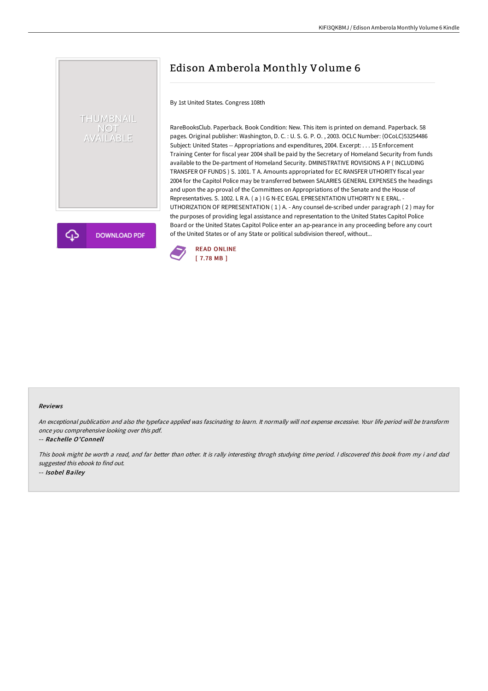# THUMBNAIL NOT<br>AVAILABLE

**DOWNLOAD PDF** 

## Edison Amberola Monthly Volume 6

By 1st United States. Congress 108th

RareBooksClub. Paperback. Book Condition: New. This item is printed on demand. Paperback. 58 pages. Original publisher: Washington, D. C. : U. S. G. P. O. , 2003. OCLC Number: (OCoLC)53254486 Subject: United States -- Appropriations and expenditures, 2004. Excerpt: . . . 15 Enforcement Training Center for fiscal year 2004 shall be paid by the Secretary of Homeland Security from funds available to the De-partment of Homeland Security. DMINISTRATIVE ROVISIONS A P ( INCLUDING TRANSFER OF FUNDS ) S. 1001. T A. Amounts appropriated for EC RANSFER UTHORITY fiscal year 2004 for the Capitol Police may be transferred between SALARIES GENERAL EXPENSES the headings and upon the ap-proval of the Committees on Appropriations of the Senate and the House of Representatives. S. 1002. L R A. ( a ) I G N-EC EGAL EPRESENTATION UTHORITY N E ERAL. - UTHORIZATION OF REPRESENTATION ( 1 ) A. - Any counsel de-scribed under paragraph ( 2 ) may for the purposes of providing legal assistance and representation to the United States Capitol Police Board or the United States Capitol Police enter an ap-pearance in any proceeding before any court of the United States or of any State or political subdivision thereof, without...



#### Reviews

An exceptional publication and also the typeface applied was fascinating to learn. It normally will not expense excessive. Your life period will be transform once you comprehensive looking over this pdf.

#### -- Rachelle O'Connell

This book might be worth <sup>a</sup> read, and far better than other. It is rally interesting throgh studying time period. <sup>I</sup> discovered this book from my i and dad suggested this ebook to find out. -- Isobel Bailey